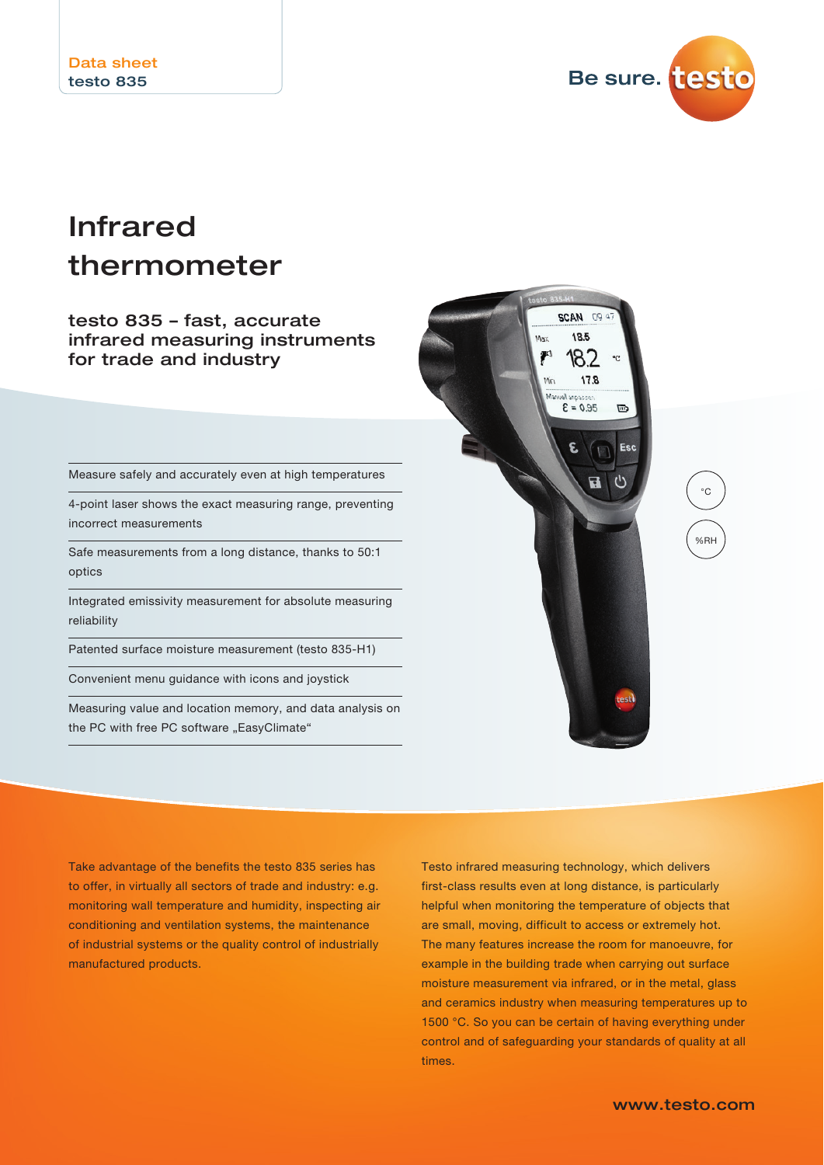

# Infrared thermometer

#### testo 835 – fast, accurate infrared measuring instruments for trade and industry

Measure safely and accurately even at high temperatures

4-point laser shows the exact measuring range, preventing incorrect measurements

Safe measurements from a long distance, thanks to 50:1 optics

Integrated emissivity measurement for absolute measuring reliability

Patented surface moisture measurement (testo 835-H1)

Convenient menu guidance with icons and joystick

Measuring value and location memory, and data analysis on the PC with free PC software "EasyClimate"



°C %RH

Take advantage of the benefits the testo 835 series has to offer, in virtually all sectors of trade and industry: e.g. monitoring wall temperature and humidity, inspecting air conditioning and ventilation systems, the maintenance of industrial systems or the quality control of industrially manufactured products.

Testo infrared measuring technology, which delivers first-class results even at long distance, is particularly helpful when monitoring the temperature of objects that are small, moving, difficult to access or extremely hot. The many features increase the room for manoeuvre, for example in the building trade when carrying out surface moisture measurement via infrared, or in the metal, glass and ceramics industry when measuring temperatures up to 1500 °C. So you can be certain of having everything under control and of safeguarding your standards of quality at all times.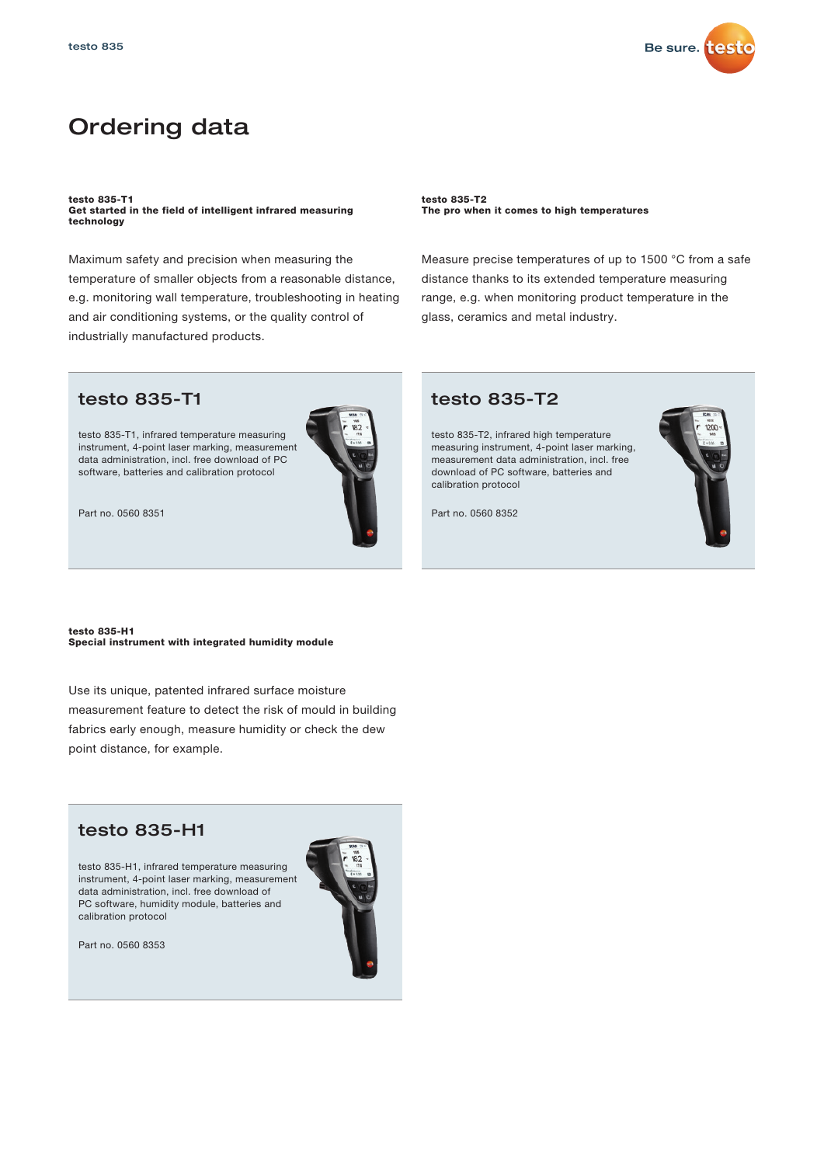

### Ordering data

testo 835-T1 Get started in the field of intelligent infrared measuring technology

Maximum safety and precision when measuring the temperature of smaller objects from a reasonable distance, e.g. monitoring wall temperature, troubleshooting in heating and air conditioning systems, or the quality control of industrially manufactured products.

testo 835-T2 The pro when it comes to high temperatures

Measure precise temperatures of up to 1500 °C from a safe distance thanks to its extended temperature measuring range, e.g. when monitoring product temperature in the glass, ceramics and metal industry.

#### testo 835-T1

testo 835-T1, infrared temperature measuring instrument, 4-point laser marking, measurement data administration, incl. free download of PC software, batteries and calibration protocol



Part no. 0560 8351

testo 835-H1 Special instrument with integrated humidity module

Use its unique, patented infrared surface moisture measurement feature to detect the risk of mould in building fabrics early enough, measure humidity or check the dew point distance, for example.

### testo 835-H1

testo 835-H1, infrared temperature measuring instrument, 4-point laser marking, measurement data administration, incl. free download of PC software, humidity module, batteries and calibration protocol





#### testo 835-T2

testo 835-T2, infrared high temperature measuring instrument, 4-point laser marking, measurement data administration, incl. free download of PC software, batteries and calibration protocol

Part no. 0560 8352

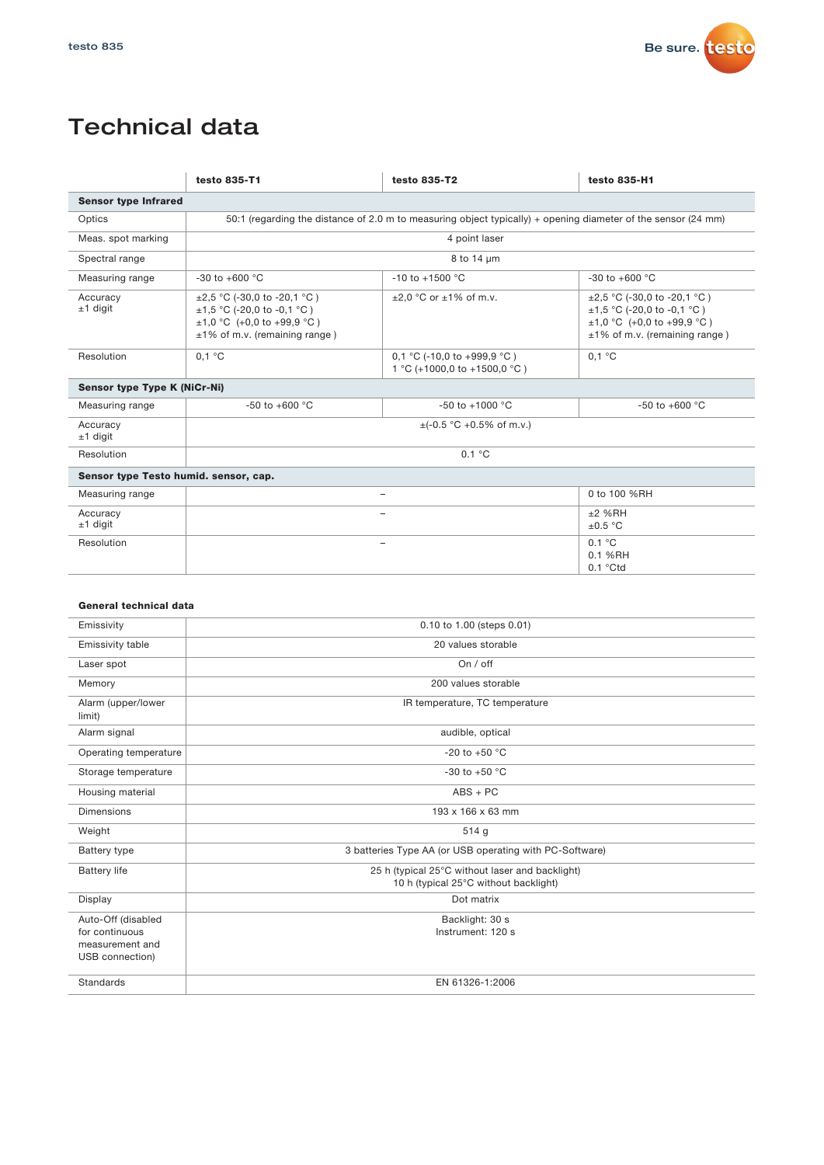

## Technical data

|                                       | testo 835-T1                                                                                                                               | testo 835-T2                                                | testo 835-H1                                                                                                                               |  |  |  |  |
|---------------------------------------|--------------------------------------------------------------------------------------------------------------------------------------------|-------------------------------------------------------------|--------------------------------------------------------------------------------------------------------------------------------------------|--|--|--|--|
| <b>Sensor type Infrared</b>           |                                                                                                                                            |                                                             |                                                                                                                                            |  |  |  |  |
| Optics                                | 50:1 (regarding the distance of 2.0 m to measuring object typically) + opening diameter of the sensor (24 mm)                              |                                                             |                                                                                                                                            |  |  |  |  |
| Meas. spot marking                    | 4 point laser                                                                                                                              |                                                             |                                                                                                                                            |  |  |  |  |
| Spectral range                        | 8 to 14 um                                                                                                                                 |                                                             |                                                                                                                                            |  |  |  |  |
| Measuring range                       | -30 to +600 °C                                                                                                                             | $-10$ to $+1500$ °C                                         | $-30$ to $+600$ °C                                                                                                                         |  |  |  |  |
| Accuracy<br>$±1$ digit                | $\pm 2.5$ °C (-30.0 to -20.1 °C)<br>$\pm$ 1,5 °C (-20,0 to -0,1 °C)<br>$\pm 1,0$ °C (+0,0 to +99,9 °C)<br>$±1\%$ of m.v. (remaining range) | $\pm 2.0$ °C or $\pm 1\%$ of m.v.                           | $\pm 2.5$ °C (-30.0 to -20.1 °C)<br>$\pm$ 1,5 °C (-20,0 to -0,1 °C)<br>$\pm 1,0$ °C (+0,0 to +99,9 °C)<br>$±1\%$ of m.v. (remaining range) |  |  |  |  |
| Resolution                            | 0.1 °C                                                                                                                                     | 0,1 °C (-10,0 to +999,9 °C)<br>1 °C (+1000,0 to +1500,0 °C) | 0.1 °C                                                                                                                                     |  |  |  |  |
| <b>Sensor type Type K (NiCr-Ni)</b>   |                                                                                                                                            |                                                             |                                                                                                                                            |  |  |  |  |
| Measuring range                       | $-50$ to $+600$ °C                                                                                                                         | $-50$ to $+1000$ °C                                         | $-50$ to $+600$ °C                                                                                                                         |  |  |  |  |
| Accuracy<br>$±1$ digit                | $\pm$ (-0.5 °C +0.5% of m.v.)                                                                                                              |                                                             |                                                                                                                                            |  |  |  |  |
| Resolution                            | 0.1 °C                                                                                                                                     |                                                             |                                                                                                                                            |  |  |  |  |
| Sensor type Testo humid. sensor, cap. |                                                                                                                                            |                                                             |                                                                                                                                            |  |  |  |  |
| Measuring range                       | 0 to 100 %RH<br>÷                                                                                                                          |                                                             |                                                                                                                                            |  |  |  |  |
| Accuracy<br>$±1$ digit                |                                                                                                                                            |                                                             | $±2$ %RH<br>$\pm 0.5~^\circ\mathrm{C}$                                                                                                     |  |  |  |  |
| Resolution                            |                                                                                                                                            | 0.1 °C<br>0.1 %RH<br>$0.1$ °Ctd                             |                                                                                                                                            |  |  |  |  |
|                                       |                                                                                                                                            |                                                             |                                                                                                                                            |  |  |  |  |
| General technical data                |                                                                                                                                            |                                                             |                                                                                                                                            |  |  |  |  |
| Emissivity                            |                                                                                                                                            | 0.10 to 1.00 (steps 0.01)                                   |                                                                                                                                            |  |  |  |  |
| Emissivity table                      |                                                                                                                                            | 20 values storable                                          |                                                                                                                                            |  |  |  |  |
| Laser spot                            | On $/$ off                                                                                                                                 |                                                             |                                                                                                                                            |  |  |  |  |
| Memory                                | 200 values storable                                                                                                                        |                                                             |                                                                                                                                            |  |  |  |  |
| Alarm (upper/lower                    | IR temperature. TC temperature                                                                                                             |                                                             |                                                                                                                                            |  |  |  |  |

| - - - - -<br>limit)                                                        |                                                                                          |
|----------------------------------------------------------------------------|------------------------------------------------------------------------------------------|
| Alarm signal                                                               | audible, optical                                                                         |
| Operating temperature                                                      | -20 to +50 $^{\circ}$ C                                                                  |
| Storage temperature                                                        | -30 to +50 $^{\circ}$ C                                                                  |
| Housing material                                                           | $ABS + PC$                                                                               |
| <b>Dimensions</b>                                                          | 193 x 166 x 63 mm                                                                        |
| Weight                                                                     | 514g                                                                                     |
| Battery type                                                               | 3 batteries Type AA (or USB operating with PC-Software)                                  |
| <b>Battery life</b>                                                        | 25 h (typical 25°C without laser and backlight)<br>10 h (typical 25°C without backlight) |
| Display                                                                    | Dot matrix                                                                               |
| Auto-Off (disabled<br>for continuous<br>measurement and<br>USB connection) | Backlight: 30 s<br>Instrument: 120 s                                                     |
| Standards                                                                  | EN 61326-1:2006                                                                          |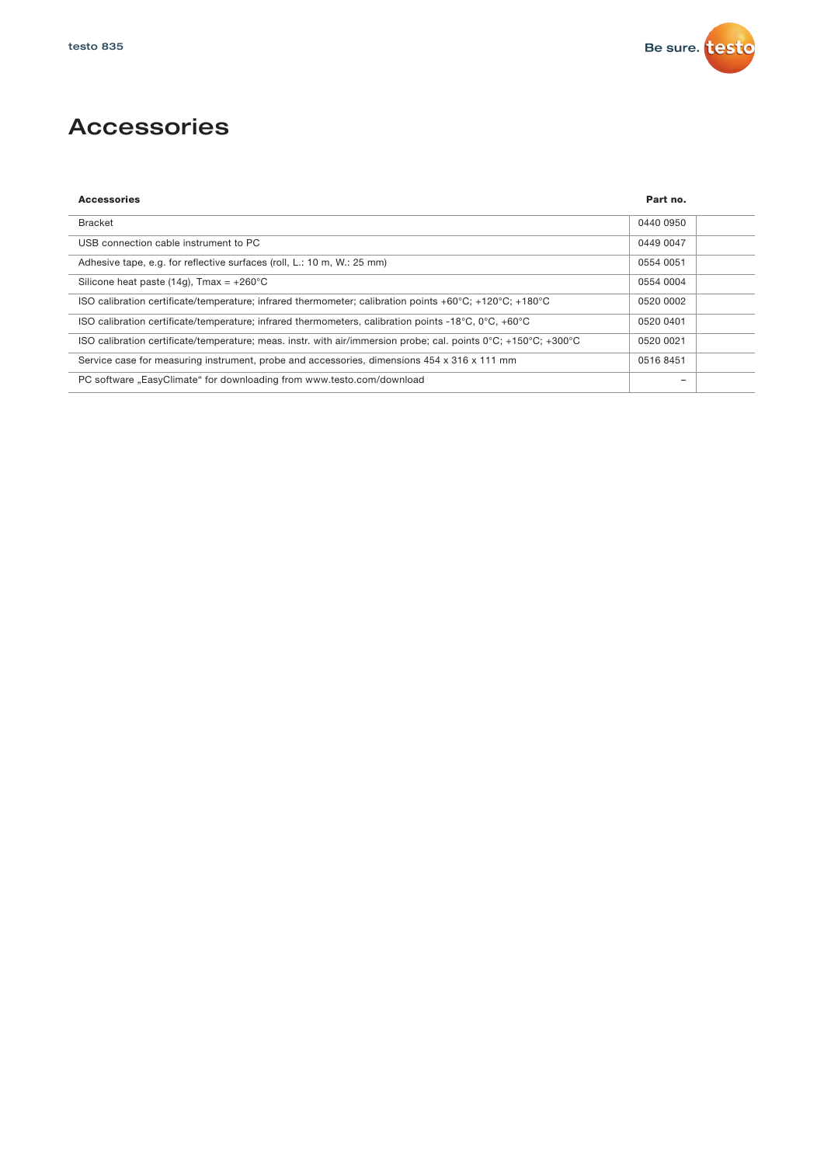

## Accessories

| <b>Accessories</b>                                                                                                                    | Part no.  |
|---------------------------------------------------------------------------------------------------------------------------------------|-----------|
| <b>Bracket</b>                                                                                                                        | 0440 0950 |
| USB connection cable instrument to PC                                                                                                 | 0449 0047 |
| Adhesive tape, e.g. for reflective surfaces (roll, L.: 10 m, W.: 25 mm)                                                               | 0554 0051 |
| Silicone heat paste (14g), Tmax = $+260^{\circ}$ C                                                                                    | 0554 0004 |
| ISO calibration certificate/temperature; infrared thermometer; calibration points +60 $\degree$ C; +120 $\degree$ C; +180 $\degree$ C | 0520 0002 |
| ISO calibration certificate/temperature; infrared thermometers, calibration points -18 $^{\circ}$ C, 0 $^{\circ}$ C, +60 $^{\circ}$ C | 0520 0401 |
| ISO calibration certificate/temperature; meas. instr. with air/immersion probe; cal. points 0°C; +150°C; +300°C                       | 0520 0021 |
| Service case for measuring instrument, probe and accessories, dimensions 454 x 316 x 111 mm                                           | 0516 8451 |
| PC software "EasyClimate" for downloading from www.testo.com/download                                                                 |           |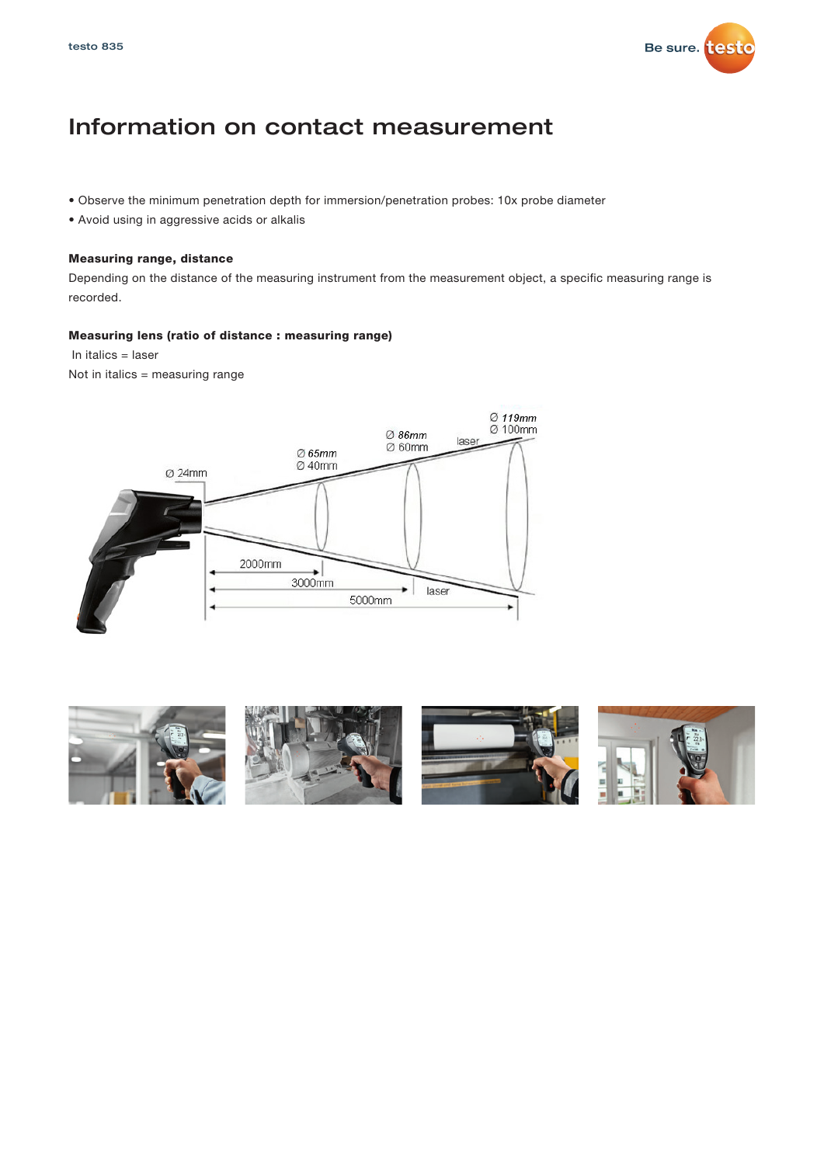

### Information on contact measurement

- Observe the minimum penetration depth for immersion/penetration probes: 10x probe diameter
- Avoid using in aggressive acids or alkalis

#### Measuring range, distance

Depending on the distance of the measuring instrument from the measurement object, a specific measuring range is recorded.

#### Measuring lens (ratio of distance : measuring range)

In italics = laser

Not in italics = measuring range



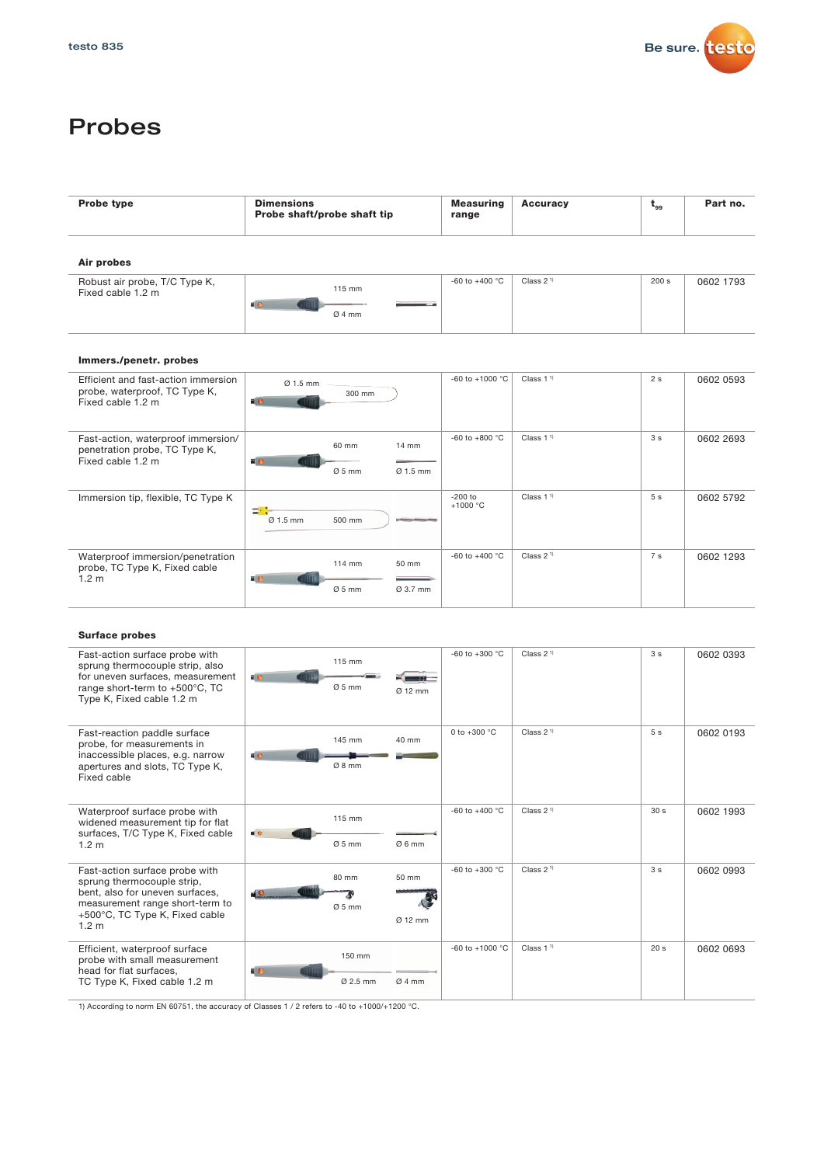

## Probes

| <b>Probe type</b><br><b>Dimensions</b><br>Probe shaft/probe shaft tip                                                                                                                    |                                                                                                                                                                                                                  | <b>Measuring</b><br>range | <b>Accuracy</b>       | $t_{gg}$        | Part no.  |
|------------------------------------------------------------------------------------------------------------------------------------------------------------------------------------------|------------------------------------------------------------------------------------------------------------------------------------------------------------------------------------------------------------------|---------------------------|-----------------------|-----------------|-----------|
| Air probes                                                                                                                                                                               |                                                                                                                                                                                                                  |                           |                       |                 |           |
| Robust air probe, T/C Type K,<br>Fixed cable 1.2 m                                                                                                                                       | 115 mm<br>«Iе<br>um<br>Ø4mm                                                                                                                                                                                      | -60 to +400 $^{\circ}$ C  | Class 2 <sup>1)</sup> | 200 s           | 0602 1793 |
| Immers./penetr.probes                                                                                                                                                                    |                                                                                                                                                                                                                  |                           |                       |                 |           |
| Efficient and fast-action immersion<br>probe, waterproof, TC Type K,<br>Fixed cable 1.2 m                                                                                                | Ø 1.5 mm<br>300 mm<br>ню                                                                                                                                                                                         | -60 to +1000 $^{\circ}$ C | Class 1 <sup>1</sup>  | 2s              | 0602 0593 |
| Fast-action, waterproof immersion/<br>penetration probe, TC Type K,<br>Fixed cable 1.2 m                                                                                                 | 60 mm<br>14 mm<br>$\blacksquare$<br>11111<br>$Ø5$ mm<br>Ø 1.5 mm                                                                                                                                                 | -60 to +800 $^{\circ}$ C  | Class $11$            | 3 <sub>s</sub>  | 0602 2693 |
| Immersion tip, flexible, TC Type K                                                                                                                                                       | <b>SILLER</b><br>Ø 1.5 mm<br>500 mm                                                                                                                                                                              | $-200$ to<br>$+1000 °C$   | Class 1 <sup>1</sup>  | 5s              | 0602 5792 |
| Waterproof immersion/penetration<br>probe, TC Type K, Fixed cable<br>1.2 <sub>m</sub>                                                                                                    | 114 mm<br>50 mm<br>$\blacksquare$<br><b>FITTE</b><br>$Ø5$ mm<br>Ø 3.7 mm                                                                                                                                         | -60 to +400 $^{\circ}$ C  | Class $21$            | 7 <sub>s</sub>  | 0602 1293 |
| <b>Surface probes</b>                                                                                                                                                                    |                                                                                                                                                                                                                  |                           |                       |                 |           |
| Fast-action surface probe with<br>sprung thermocouple strip, also<br>for uneven surfaces, measurement<br>range short-term to +500°C, TC<br>Type K, Fixed cable 1.2 m                     | 115 mm<br>4O<br>$-$<br><b>TILL</b><br>$\frac{1}{2} \left( \frac{1}{2} \right) \left( \frac{1}{2} \right) \left( \frac{1}{2} \right) \left( \frac{1}{2} \right) \left( \frac{1}{2} \right)$<br>$Ø5$ mm<br>Ø 12 mm | -60 to +300 $^{\circ}$ C  | Class 2 <sup>1)</sup> | 3 <sub>s</sub>  | 0602 0393 |
| Fast-reaction paddle surface<br>probe, for measurements in<br>inaccessible places, e.g. narrow<br>apertures and slots, TC Type K,<br>Fixed cable                                         | 145 mm<br>40 mm<br>ĸе<br>Ø8mm                                                                                                                                                                                    | 0 to $+300 °C$            | Class $21$            | 5s              | 0602 0193 |
| Waterproof surface probe with<br>widened measurement tip for flat<br>surfaces, T/C Type K, Fixed cable<br>1.2 <sub>m</sub>                                                               | 115 mm<br>$\blacksquare$<br>Ø6mm<br>$Ø5$ mm                                                                                                                                                                      | -60 to +400 $^{\circ}$ C  | Class $21$            | 30 <sub>s</sub> | 0602 1993 |
| Fast-action surface probe with<br>sprung thermocouple strip,<br>bent, also for uneven surfaces,<br>measurement range short-term to<br>+500°C, TC Type K, Fixed cable<br>1.2 <sub>m</sub> | 80 mm<br>50 mm<br>$Ø5$ mm<br>Ø 12 mm                                                                                                                                                                             | -60 to +300 °C            | Class 2 <sup>1)</sup> | 3 <sub>s</sub>  | 0602 0993 |
| Efficient, waterproof surface<br>probe with small measurement<br>head for flat surfaces,<br>TC Type K, Fixed cable 1.2 m                                                                 | 150 mm<br>베어<br>Ø 2.5 mm<br>Ø4mm                                                                                                                                                                                 | -60 to +1000 °C           | Class 1 <sup>1)</sup> | 20 <sub>s</sub> | 0602 0693 |

1) According to norm EN 60751, the accuracy of Classes 1 / 2 refers to -40 to +1000/+1200 °C.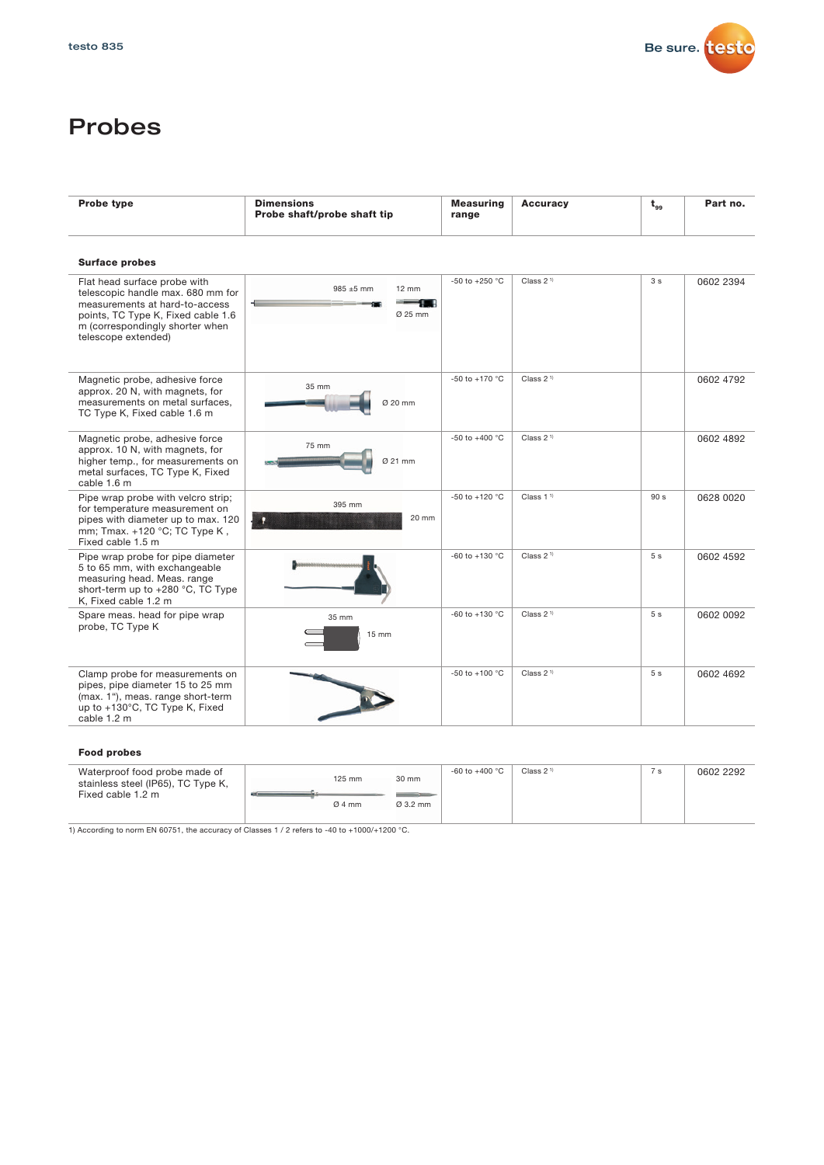

## Probes

| <b>Probe type</b>                                                                                                                                                                                   | <b>Dimensions</b><br>Probe shaft/probe shaft tip | <b>Measuring</b><br>range | <b>Accuracy</b>       | $t_{gg}$        | Part no.  |
|-----------------------------------------------------------------------------------------------------------------------------------------------------------------------------------------------------|--------------------------------------------------|---------------------------|-----------------------|-----------------|-----------|
| <b>Surface probes</b>                                                                                                                                                                               |                                                  |                           |                       |                 |           |
| Flat head surface probe with<br>telescopic handle max. 680 mm for<br>measurements at hard-to-access<br>points, TC Type K, Fixed cable 1.6<br>m (correspondingly shorter when<br>telescope extended) | 985 ±5 mm<br>$12 \text{ mm}$<br>Ø 25 mm          | -50 to +250 °C            | Class 2 <sup>1)</sup> | 3 <sub>s</sub>  | 0602 2394 |
| Magnetic probe, adhesive force<br>approx. 20 N, with magnets, for<br>measurements on metal surfaces.<br>TC Type K, Fixed cable 1.6 m                                                                | 35 mm<br>Ø 20 mm                                 | -50 to +170 °C            | Class 2 <sup>1)</sup> |                 | 0602 4792 |
| Magnetic probe, adhesive force<br>approx. 10 N, with magnets, for<br>higher temp., for measurements on<br>metal surfaces, TC Type K, Fixed<br>cable 1.6 m                                           | 75 mm<br>Ø 21 mm                                 | -50 to +400 $^{\circ}$ C  | Class 2 <sup>1)</sup> |                 | 0602 4892 |
| Pipe wrap probe with velcro strip;<br>for temperature measurement on<br>pipes with diameter up to max. 120<br>mm; Tmax. +120 °C; TC Type K,<br>Fixed cable 1.5 m                                    | 395 mm<br>20 mm<br>п                             | -50 to +120 $^{\circ}$ C  | Class $11$            | 90 <sub>s</sub> | 0628 0020 |
| Pipe wrap probe for pipe diameter<br>5 to 65 mm, with exchangeable<br>measuring head. Meas. range<br>short-term up to +280 °C, TC Type<br>K. Fixed cable 1.2 m                                      |                                                  | -60 to +130 $^{\circ}$ C  | Class $21$            | 5 <sub>s</sub>  | 0602 4592 |
| Spare meas. head for pipe wrap<br>probe, TC Type K                                                                                                                                                  | 35 mm<br>$15 \text{ mm}$                         | -60 to +130 $^{\circ}$ C  | Class 2 <sup>1)</sup> | 5 <sub>s</sub>  | 0602 0092 |
| Clamp probe for measurements on<br>pipes, pipe diameter 15 to 25 mm<br>(max. 1"), meas. range short-term<br>up to +130°C, TC Type K, Fixed<br>cable 1.2 m                                           |                                                  | -50 to +100 $^{\circ}$ C  | Class $21$            | 5 <sub>s</sub>  | 0602 4692 |
|                                                                                                                                                                                                     |                                                  |                           |                       |                 |           |

#### Food probes

| Waterproof food probe made of<br>stainless steel (IP65), TC Type K,<br>Fixed cable 1.2 m | 125 mm   | 30 mm    | -60 to +400 °C | Class $21$ | / s | 0602 2292 |
|------------------------------------------------------------------------------------------|----------|----------|----------------|------------|-----|-----------|
|                                                                                          | $Ø$ 4 mm | Ø 3.2 mm |                |            |     |           |

1) According to norm EN 60751, the accuracy of Classes 1 / 2 refers to -40 to +1000/+1200 °C.